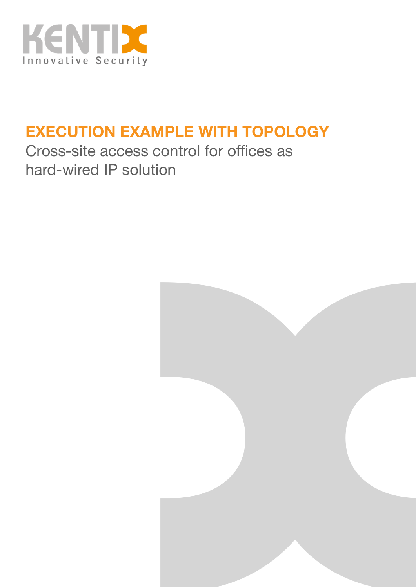

## **EXECUTION EXAMPLE WITH TOPOLOGY**

Cross-site access control for offices as hard-wired IP solution

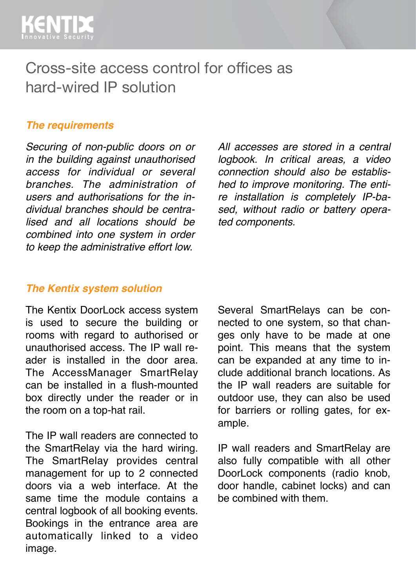

## Cross-site access control for offices as hard-wired IP solution

#### *The requirements*

*Securing of non-public doors on or in the building against unauthorised access for individual or several branches. The administration of users and authorisations for the individual branches should be centralised and all locations should be combined into one system in order to keep the administrative effort low.* 

*All accesses are stored in a central logbook. In critical areas, a video connection should also be established to improve monitoring. The entire installation is completely IP-based, without radio or battery operated components.*

#### *The Kentix system solution*

The Kentix DoorLock access system is used to secure the building or rooms with regard to authorised or unauthorised access. The IP wall reader is installed in the door area. The AccessManager SmartRelay can be installed in a flush-mounted box directly under the reader or in the room on a top-hat rail.

The IP wall readers are connected to the SmartRelay via the hard wiring. The SmartRelay provides central management for up to 2 connected doors via a web interface. At the same time the module contains a central logbook of all booking events. Bookings in the entrance area are automatically linked to a video image.

Several SmartRelays can be connected to one system, so that changes only have to be made at one point. This means that the system can be expanded at any time to include additional branch locations. As the IP wall readers are suitable for outdoor use, they can also be used for barriers or rolling gates, for example.

IP wall readers and SmartRelay are also fully compatible with all other DoorLock components (radio knob, door handle, cabinet locks) and can be combined with them.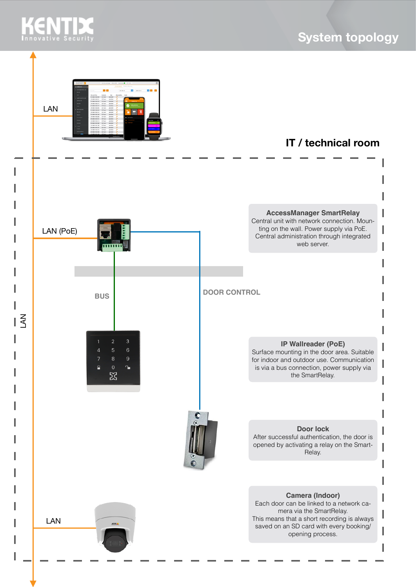